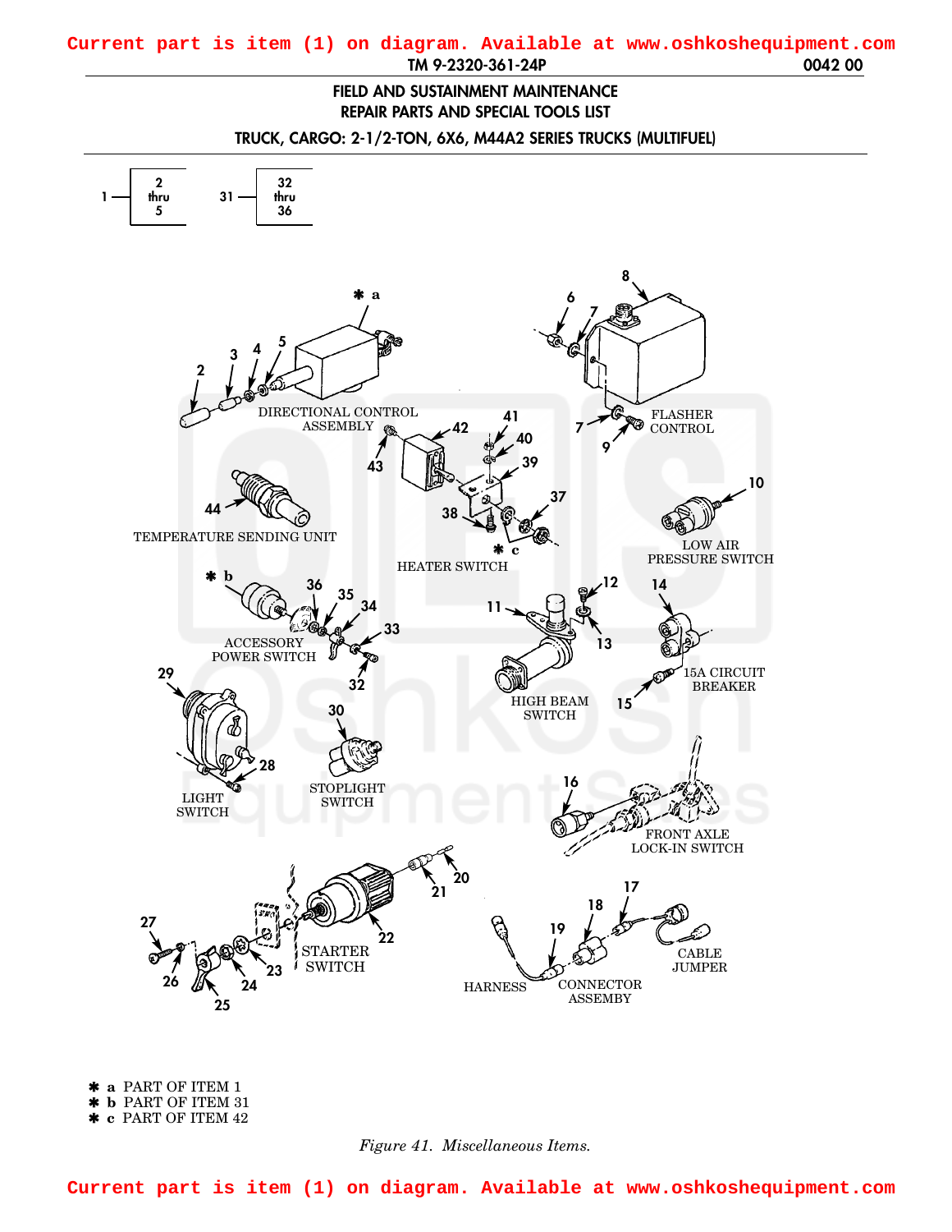## <span id="page-0-0"></span>**TM 9-2320-361-24P 0042 00 Current part is item (1) on diagram. Available at www.oshkoshequipment.com**

## **FIELD AND SUSTAINMENT MAINTENANCE REPAIR PARTS AND SPECIAL TOOLS LIST**

**TRUCK, CARGO: 2-1/2-TON, 6X6, M44A2 SERIES TRUCKS (MULTIFUEL)**



✱ **a** PART OF ITEM 1 ✱ **b** PART OF ITEM 31 ✱ **c** PART OF ITEM 42

## *Figure 41. Miscellaneous Items.*

**Current part is item (1) on diagram. Available at www.oshkoshequipment.com**